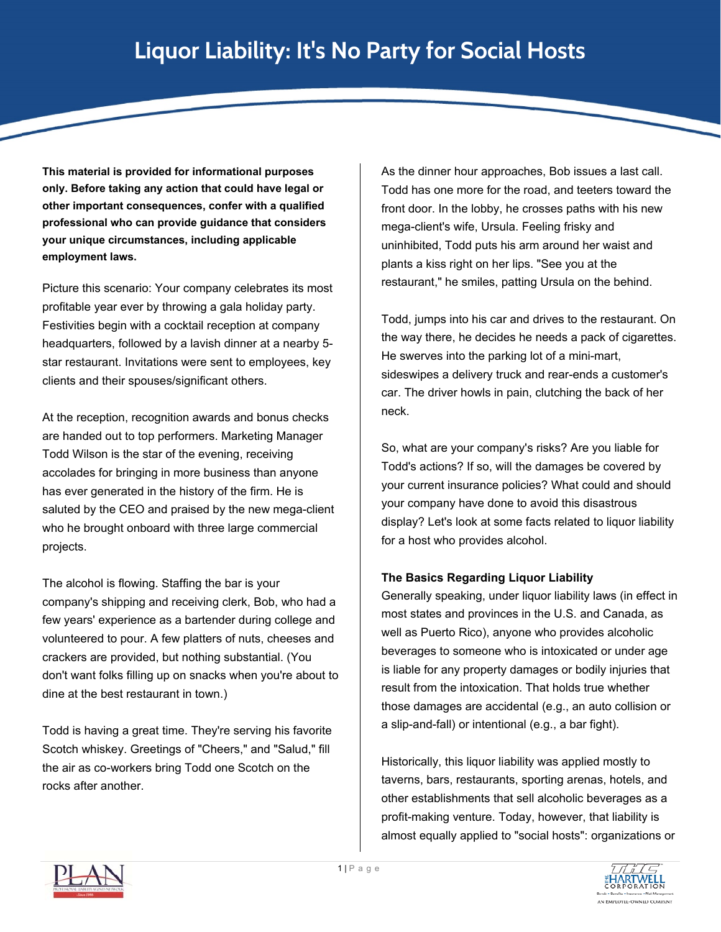*<u> And the second contract of the second contract of the second contract of the second contract of the second contract of the second contract of the second contract of the second contract of the second contract of the sec*</u>

**This material is provided for informational purposes only. Before taking any action that could have legal or other important consequences, confer with a qualified professional who can provide guidance that considers your unique circumstances, including applicable employment laws.** 

Picture this scenario: Your company celebrates its most profitable year ever by throwing a gala holiday party. Festivities begin with a cocktail reception at company headquarters, followed by a lavish dinner at a nearby 5 star restaurant. Invitations were sent to employees, key clients and their spouses/significant others.

At the reception, recognition awards and bonus checks are handed out to top performers. Marketing Manager Todd Wilson is the star of the evening, receiving accolades for bringing in more business than anyone has ever generated in the history of the firm. He is saluted by the CEO and praised by the new mega-client who he brought onboard with three large commercial projects.

The alcohol is flowing. Staffing the bar is your company's shipping and receiving clerk, Bob, who had a few years' experience as a bartender during college and volunteered to pour. A few platters of nuts, cheeses and crackers are provided, but nothing substantial. (You don't want folks filling up on snacks when you're about to dine at the best restaurant in town.)

Todd is having a great time. They're serving his favorite Scotch whiskey. Greetings of "Cheers," and "Salud," fill the air as co-workers bring Todd one Scotch on the rocks after another.

As the dinner hour approaches, Bob issues a last call. Todd has one more for the road, and teeters toward the front door. In the lobby, he crosses paths with his new mega-client's wife, Ursula. Feeling frisky and uninhibited, Todd puts his arm around her waist and plants a kiss right on her lips. "See you at the restaurant," he smiles, patting Ursula on the behind.

Todd, jumps into his car and drives to the restaurant. On the way there, he decides he needs a pack of cigarettes. He swerves into the parking lot of a mini-mart, sideswipes a delivery truck and rear-ends a customer's car. The driver howls in pain, clutching the back of her neck.

So, what are your company's risks? Are you liable for Todd's actions? If so, will the damages be covered by your current insurance policies? What could and should your company have done to avoid this disastrous display? Let's look at some facts related to liquor liability for a host who provides alcohol.

## **The Basics Regarding Liquor Liability**

Generally speaking, under liquor liability laws (in effect in most states and provinces in the U.S. and Canada, as well as Puerto Rico), anyone who provides alcoholic beverages to someone who is intoxicated or under age is liable for any property damages or bodily injuries that result from the intoxication. That holds true whether those damages are accidental (e.g., an auto collision or a slip-and-fall) or intentional (e.g., a bar fight).

Historically, this liquor liability was applied mostly to taverns, bars, restaurants, sporting arenas, hotels, and other establishments that sell alcoholic beverages as a profit-making venture. Today, however, that liability is almost equally applied to "social hosts": organizations or



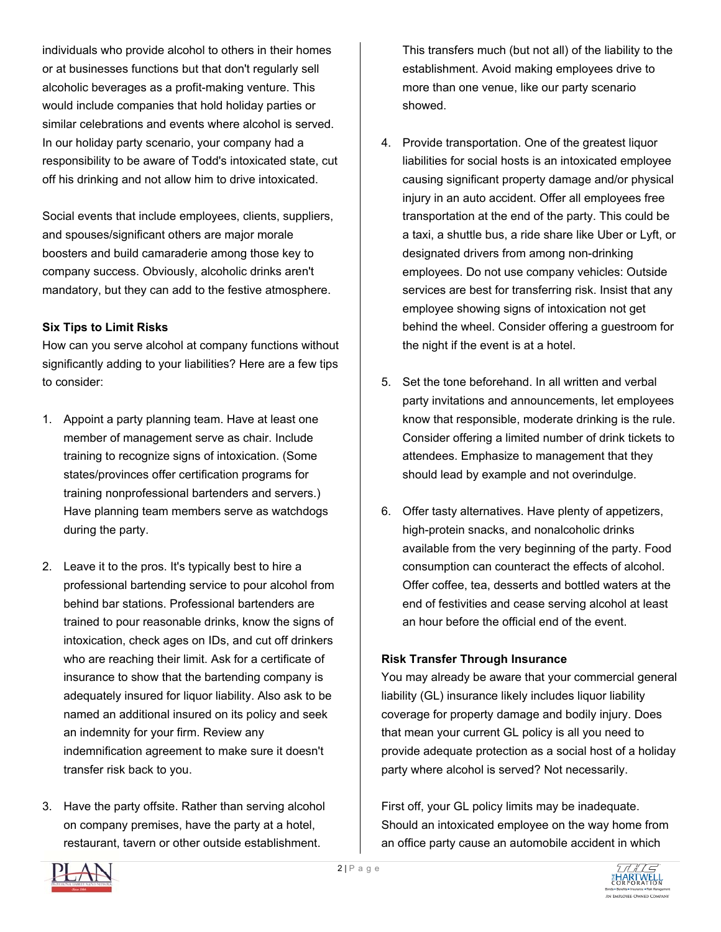individuals who provide alcohol to others in their homes or at businesses functions but that don't regularly sell alcoholic beverages as a profit-making venture. This would include companies that hold holiday parties or similar celebrations and events where alcohol is served. In our holiday party scenario, your company had a responsibility to be aware of Todd's intoxicated state, cut off his drinking and not allow him to drive intoxicated.

Social events that include employees, clients, suppliers, and spouses/significant others are major morale boosters and build camaraderie among those key to company success. Obviously, alcoholic drinks aren't mandatory, but they can add to the festive atmosphere.

## **Six Tips to Limit Risks**

How can you serve alcohol at company functions without significantly adding to your liabilities? Here are a few tips to consider:

- 1. Appoint a party planning team. Have at least one member of management serve as chair. Include training to recognize signs of intoxication. (Some states/provinces offer certification programs for training nonprofessional bartenders and servers.) Have planning team members serve as watchdogs during the party.
- 2. Leave it to the pros. It's typically best to hire a professional bartending service to pour alcohol from behind bar stations. Professional bartenders are trained to pour reasonable drinks, know the signs of intoxication, check ages on IDs, and cut off drinkers who are reaching their limit. Ask for a certificate of insurance to show that the bartending company is adequately insured for liquor liability. Also ask to be named an additional insured on its policy and seek an indemnity for your firm. Review any indemnification agreement to make sure it doesn't transfer risk back to you.
- 3. Have the party offsite. Rather than serving alcohol on company premises, have the party at a hotel, restaurant, tavern or other outside establishment.

This transfers much (but not all) of the liability to the establishment. Avoid making employees drive to more than one venue, like our party scenario showed.

- 4. Provide transportation. One of the greatest liquor liabilities for social hosts is an intoxicated employee causing significant property damage and/or physical injury in an auto accident. Offer all employees free transportation at the end of the party. This could be a taxi, a shuttle bus, a ride share like Uber or Lyft, or designated drivers from among non-drinking employees. Do not use company vehicles: Outside services are best for transferring risk. Insist that any employee showing signs of intoxication not get behind the wheel. Consider offering a guestroom for the night if the event is at a hotel.
- 5. Set the tone beforehand. In all written and verbal party invitations and announcements, let employees know that responsible, moderate drinking is the rule. Consider offering a limited number of drink tickets to attendees. Emphasize to management that they should lead by example and not overindulge.
- 6. Offer tasty alternatives. Have plenty of appetizers, high-protein snacks, and nonalcoholic drinks available from the very beginning of the party. Food consumption can counteract the effects of alcohol. Offer coffee, tea, desserts and bottled waters at the end of festivities and cease serving alcohol at least an hour before the official end of the event.

## **Risk Transfer Through Insurance**

You may already be aware that your commercial general liability (GL) insurance likely includes liquor liability coverage for property damage and bodily injury. Does that mean your current GL policy is all you need to provide adequate protection as a social host of a holiday party where alcohol is served? Not necessarily.

First off, your GL policy limits may be inadequate. Should an intoxicated employee on the way home from an office party cause an automobile accident in which